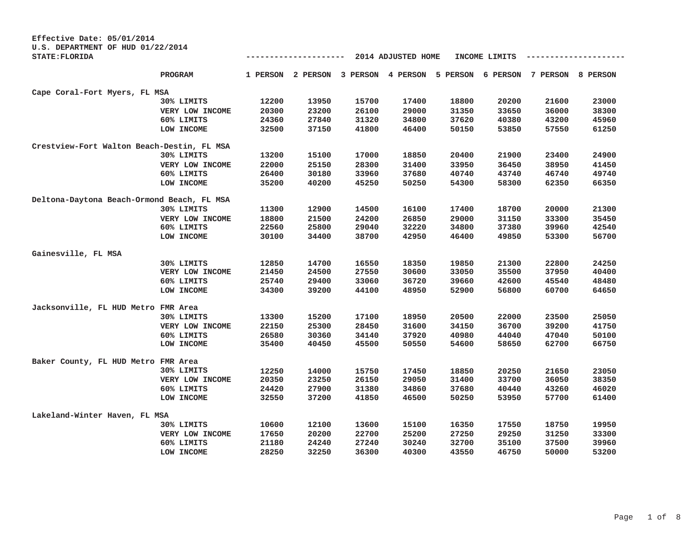| Effective Date: 05/01/2014                                 |                 |       |                   |       |                            |       |               |          |          |
|------------------------------------------------------------|-----------------|-------|-------------------|-------|----------------------------|-------|---------------|----------|----------|
| U.S. DEPARTMENT OF HUD 01/22/2014<br><b>STATE: FLORIDA</b> |                 |       |                   |       | 2014 ADJUSTED HOME         |       | INCOME LIMITS |          |          |
|                                                            | PROGRAM         |       | 1 PERSON 2 PERSON |       | 3 PERSON 4 PERSON 5 PERSON |       | 6 PERSON      | 7 PERSON | 8 PERSON |
| Cape Coral-Fort Myers, FL MSA                              |                 |       |                   |       |                            |       |               |          |          |
|                                                            | 30% LIMITS      | 12200 | 13950             | 15700 | 17400                      | 18800 | 20200         | 21600    | 23000    |
|                                                            | VERY LOW INCOME | 20300 | 23200             | 26100 | 29000                      | 31350 | 33650         | 36000    | 38300    |
|                                                            | 60% LIMITS      | 24360 | 27840             | 31320 | 34800                      | 37620 | 40380         | 43200    | 45960    |
|                                                            | LOW INCOME      | 32500 | 37150             | 41800 | 46400                      | 50150 | 53850         | 57550    | 61250    |
| Crestview-Fort Walton Beach-Destin, FL MSA                 |                 |       |                   |       |                            |       |               |          |          |
|                                                            | 30% LIMITS      | 13200 | 15100             | 17000 | 18850                      | 20400 | 21900         | 23400    | 24900    |
|                                                            | VERY LOW INCOME | 22000 | 25150             | 28300 | 31400                      | 33950 | 36450         | 38950    | 41450    |
|                                                            | 60% LIMITS      | 26400 | 30180             | 33960 | 37680                      | 40740 | 43740         | 46740    | 49740    |
|                                                            | LOW INCOME      | 35200 | 40200             | 45250 | 50250                      | 54300 | 58300         | 62350    | 66350    |
| Deltona-Daytona Beach-Ormond Beach, FL MSA                 |                 |       |                   |       |                            |       |               |          |          |
|                                                            | 30% LIMITS      | 11300 | 12900             | 14500 | 16100                      | 17400 | 18700         | 20000    | 21300    |
|                                                            | VERY LOW INCOME | 18800 | 21500             | 24200 | 26850                      | 29000 | 31150         | 33300    | 35450    |
|                                                            | 60% LIMITS      | 22560 | 25800             | 29040 | 32220                      | 34800 | 37380         | 39960    | 42540    |
|                                                            | LOW INCOME      | 30100 | 34400             | 38700 | 42950                      | 46400 | 49850         | 53300    | 56700    |
| Gainesville, FL MSA                                        |                 |       |                   |       |                            |       |               |          |          |
|                                                            | 30% LIMITS      | 12850 | 14700             | 16550 | 18350                      | 19850 | 21300         | 22800    | 24250    |
|                                                            | VERY LOW INCOME | 21450 | 24500             | 27550 | 30600                      | 33050 | 35500         | 37950    | 40400    |
|                                                            | 60% LIMITS      | 25740 | 29400             | 33060 | 36720                      | 39660 | 42600         | 45540    | 48480    |
|                                                            | LOW INCOME      | 34300 | 39200             | 44100 | 48950                      | 52900 | 56800         | 60700    | 64650    |
| Jacksonville, FL HUD Metro FMR Area                        |                 |       |                   |       |                            |       |               |          |          |
|                                                            | 30% LIMITS      | 13300 | 15200             | 17100 | 18950                      | 20500 | 22000         | 23500    | 25050    |
|                                                            | VERY LOW INCOME | 22150 | 25300             | 28450 | 31600                      | 34150 | 36700         | 39200    | 41750    |
|                                                            | 60% LIMITS      | 26580 | 30360             | 34140 | 37920                      | 40980 | 44040         | 47040    | 50100    |
|                                                            | LOW INCOME      | 35400 | 40450             | 45500 | 50550                      | 54600 | 58650         | 62700    | 66750    |
| Baker County, FL HUD Metro FMR Area                        |                 |       |                   |       |                            |       |               |          |          |
|                                                            | 30% LIMITS      | 12250 | 14000             | 15750 | 17450                      | 18850 | 20250         | 21650    | 23050    |
|                                                            | VERY LOW INCOME | 20350 | 23250             | 26150 | 29050                      | 31400 | 33700         | 36050    | 38350    |
|                                                            | 60% LIMITS      | 24420 | 27900             | 31380 | 34860                      | 37680 | 40440         | 43260    | 46020    |
|                                                            | LOW INCOME      | 32550 | 37200             | 41850 | 46500                      | 50250 | 53950         | 57700    | 61400    |
| Lakeland-Winter Haven, FL MSA                              |                 |       |                   |       |                            |       |               |          |          |
|                                                            | 30% LIMITS      | 10600 | 12100             | 13600 | 15100                      | 16350 | 17550         | 18750    | 19950    |
|                                                            | VERY LOW INCOME | 17650 | 20200             | 22700 | 25200                      | 27250 | 29250         | 31250    | 33300    |
|                                                            | 60% LIMITS      | 21180 | 24240             | 27240 | 30240                      | 32700 | 35100         | 37500    | 39960    |
|                                                            | LOW INCOME      | 28250 | 32250             | 36300 | 40300                      | 43550 | 46750         | 50000    | 53200    |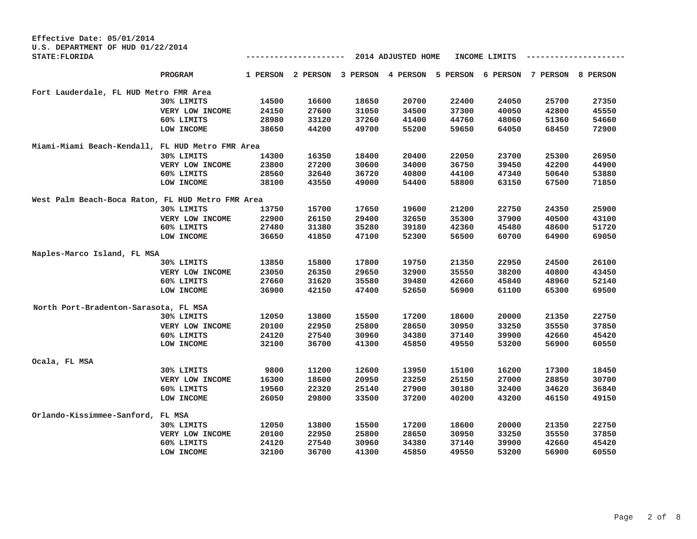| Effective Date: 05/01/2014<br>U.S. DEPARTMENT OF HUD 01/22/2014 |                 |          |          |       |                                     |       |               |          |          |
|-----------------------------------------------------------------|-----------------|----------|----------|-------|-------------------------------------|-------|---------------|----------|----------|
| <b>STATE: FLORIDA</b>                                           |                 |          |          |       | 2014 ADJUSTED HOME                  |       | INCOME LIMITS |          |          |
|                                                                 | PROGRAM         | 1 PERSON | 2 PERSON |       | 3 PERSON 4 PERSON 5 PERSON 6 PERSON |       |               | 7 PERSON | 8 PERSON |
| Fort Lauderdale, FL HUD Metro FMR Area                          |                 |          |          |       |                                     |       |               |          |          |
|                                                                 | 30% LIMITS      | 14500    | 16600    | 18650 | 20700                               | 22400 | 24050         | 25700    | 27350    |
|                                                                 | VERY LOW INCOME | 24150    | 27600    | 31050 | 34500                               | 37300 | 40050         | 42800    | 45550    |
|                                                                 | 60% LIMITS      | 28980    | 33120    | 37260 | 41400                               | 44760 | 48060         | 51360    | 54660    |
|                                                                 | LOW INCOME      | 38650    | 44200    | 49700 | 55200                               | 59650 | 64050         | 68450    | 72900    |
| Miami-Miami Beach-Kendall, FL HUD Metro FMR Area                |                 |          |          |       |                                     |       |               |          |          |
|                                                                 | 30% LIMITS      | 14300    | 16350    | 18400 | 20400                               | 22050 | 23700         | 25300    | 26950    |
|                                                                 | VERY LOW INCOME | 23800    | 27200    | 30600 | 34000                               | 36750 | 39450         | 42200    | 44900    |
|                                                                 | 60% LIMITS      | 28560    | 32640    | 36720 | 40800                               | 44100 | 47340         | 50640    | 53880    |
|                                                                 | LOW INCOME      | 38100    | 43550    | 49000 | 54400                               | 58800 | 63150         | 67500    | 71850    |
| West Palm Beach-Boca Raton, FL HUD Metro FMR Area               |                 |          |          |       |                                     |       |               |          |          |
|                                                                 | 30% LIMITS      | 13750    | 15700    | 17650 | 19600                               | 21200 | 22750         | 24350    | 25900    |
|                                                                 | VERY LOW INCOME | 22900    | 26150    | 29400 | 32650                               | 35300 | 37900         | 40500    | 43100    |
|                                                                 | 60% LIMITS      | 27480    | 31380    | 35280 | 39180                               | 42360 | 45480         | 48600    | 51720    |
|                                                                 | LOW INCOME      | 36650    | 41850    | 47100 | 52300                               | 56500 | 60700         | 64900    | 69050    |
| Naples-Marco Island, FL MSA                                     |                 |          |          |       |                                     |       |               |          |          |
|                                                                 | 30% LIMITS      | 13850    | 15800    | 17800 | 19750                               | 21350 | 22950         | 24500    | 26100    |
|                                                                 | VERY LOW INCOME | 23050    | 26350    | 29650 | 32900                               | 35550 | 38200         | 40800    | 43450    |
|                                                                 | 60% LIMITS      | 27660    | 31620    | 35580 | 39480                               | 42660 | 45840         | 48960    | 52140    |
|                                                                 | LOW INCOME      | 36900    | 42150    | 47400 | 52650                               | 56900 | 61100         | 65300    | 69500    |
| North Port-Bradenton-Sarasota, FL MSA                           |                 |          |          |       |                                     |       |               |          |          |
|                                                                 | 30% LIMITS      | 12050    | 13800    | 15500 | 17200                               | 18600 | 20000         | 21350    | 22750    |
|                                                                 | VERY LOW INCOME | 20100    | 22950    | 25800 | 28650                               | 30950 | 33250         | 35550    | 37850    |
|                                                                 | 60% LIMITS      | 24120    | 27540    | 30960 | 34380                               | 37140 | 39900         | 42660    | 45420    |
|                                                                 | LOW INCOME      | 32100    | 36700    | 41300 | 45850                               | 49550 | 53200         | 56900    | 60550    |
| Ocala, FL MSA                                                   |                 |          |          |       |                                     |       |               |          |          |
|                                                                 | 30% LIMITS      | 9800     | 11200    | 12600 | 13950                               | 15100 | 16200         | 17300    | 18450    |
|                                                                 | VERY LOW INCOME | 16300    | 18600    | 20950 | 23250                               | 25150 | 27000         | 28850    | 30700    |
|                                                                 | 60% LIMITS      | 19560    | 22320    | 25140 | 27900                               | 30180 | 32400         | 34620    | 36840    |
|                                                                 | LOW INCOME      | 26050    | 29800    | 33500 | 37200                               | 40200 | 43200         | 46150    | 49150    |
| Orlando-Kissimmee-Sanford, FL MSA                               |                 |          |          |       |                                     |       |               |          |          |
|                                                                 | 30% LIMITS      | 12050    | 13800    | 15500 | 17200                               | 18600 | 20000         | 21350    | 22750    |
|                                                                 | VERY LOW INCOME | 20100    | 22950    | 25800 | 28650                               | 30950 | 33250         | 35550    | 37850    |
|                                                                 | 60% LIMITS      | 24120    | 27540    | 30960 | 34380                               | 37140 | 39900         | 42660    | 45420    |
|                                                                 | LOW INCOME      | 32100    | 36700    | 41300 | 45850                               | 49550 | 53200         | 56900    | 60550    |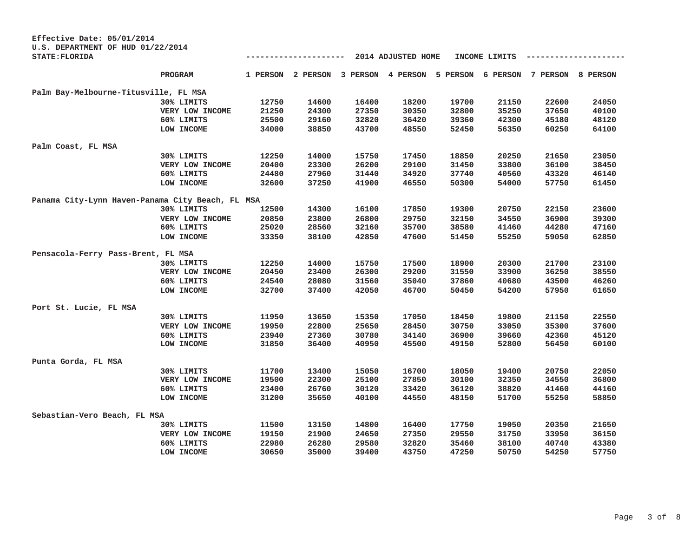| Effective Date: 05/01/2014                       |                 |       |                   |       |                                     |       |               |          |          |
|--------------------------------------------------|-----------------|-------|-------------------|-------|-------------------------------------|-------|---------------|----------|----------|
| U.S. DEPARTMENT OF HUD 01/22/2014                |                 |       |                   |       |                                     |       |               |          |          |
| <b>STATE: FLORIDA</b>                            |                 |       |                   |       | 2014 ADJUSTED HOME                  |       | INCOME LIMITS |          |          |
|                                                  | PROGRAM         |       | 1 PERSON 2 PERSON |       | 3 PERSON 4 PERSON 5 PERSON 6 PERSON |       |               | 7 PERSON | 8 PERSON |
| Palm Bay-Melbourne-Titusville, FL MSA            |                 |       |                   |       |                                     |       |               |          |          |
|                                                  | 30% LIMITS      | 12750 | 14600             | 16400 | 18200                               | 19700 | 21150         | 22600    | 24050    |
|                                                  | VERY LOW INCOME | 21250 | 24300             | 27350 | 30350                               | 32800 | 35250         | 37650    | 40100    |
|                                                  | 60% LIMITS      | 25500 | 29160             | 32820 | 36420                               | 39360 | 42300         | 45180    | 48120    |
|                                                  | LOW INCOME      | 34000 | 38850             | 43700 | 48550                               | 52450 | 56350         | 60250    | 64100    |
| Palm Coast, FL MSA                               |                 |       |                   |       |                                     |       |               |          |          |
|                                                  | 30% LIMITS      | 12250 | 14000             | 15750 | 17450                               | 18850 | 20250         | 21650    | 23050    |
|                                                  | VERY LOW INCOME | 20400 | 23300             | 26200 | 29100                               | 31450 | 33800         | 36100    | 38450    |
|                                                  | 60% LIMITS      | 24480 | 27960             | 31440 | 34920                               | 37740 | 40560         | 43320    | 46140    |
|                                                  | LOW INCOME      | 32600 | 37250             | 41900 | 46550                               | 50300 | 54000         | 57750    | 61450    |
| Panama City-Lynn Haven-Panama City Beach, FL MSA |                 |       |                   |       |                                     |       |               |          |          |
|                                                  | 30% LIMITS      | 12500 | 14300             | 16100 | 17850                               | 19300 | 20750         | 22150    | 23600    |
|                                                  | VERY LOW INCOME | 20850 | 23800             | 26800 | 29750                               | 32150 | 34550         | 36900    | 39300    |
|                                                  | 60% LIMITS      | 25020 | 28560             | 32160 | 35700                               | 38580 | 41460         | 44280    | 47160    |
|                                                  | LOW INCOME      | 33350 | 38100             | 42850 | 47600                               | 51450 | 55250         | 59050    | 62850    |
| Pensacola-Ferry Pass-Brent, FL MSA               |                 |       |                   |       |                                     |       |               |          |          |
|                                                  | 30% LIMITS      | 12250 | 14000             | 15750 | 17500                               | 18900 | 20300         | 21700    | 23100    |
|                                                  | VERY LOW INCOME | 20450 | 23400             | 26300 | 29200                               | 31550 | 33900         | 36250    | 38550    |
|                                                  | 60% LIMITS      | 24540 | 28080             | 31560 | 35040                               | 37860 | 40680         | 43500    | 46260    |
|                                                  | LOW INCOME      | 32700 | 37400             | 42050 | 46700                               | 50450 | 54200         | 57950    | 61650    |
| Port St. Lucie, FL MSA                           |                 |       |                   |       |                                     |       |               |          |          |
|                                                  | 30% LIMITS      | 11950 | 13650             | 15350 | 17050                               | 18450 | 19800         | 21150    | 22550    |
|                                                  | VERY LOW INCOME | 19950 | 22800             | 25650 | 28450                               | 30750 | 33050         | 35300    | 37600    |
|                                                  | 60% LIMITS      | 23940 | 27360             | 30780 | 34140                               | 36900 | 39660         | 42360    | 45120    |
|                                                  | LOW INCOME      | 31850 | 36400             | 40950 | 45500                               | 49150 | 52800         | 56450    | 60100    |
| Punta Gorda, FL MSA                              |                 |       |                   |       |                                     |       |               |          |          |
|                                                  | 30% LIMITS      | 11700 | 13400             | 15050 | 16700                               | 18050 | 19400         | 20750    | 22050    |
|                                                  | VERY LOW INCOME | 19500 | 22300             | 25100 | 27850                               | 30100 | 32350         | 34550    | 36800    |
|                                                  | 60% LIMITS      | 23400 | 26760             | 30120 | 33420                               | 36120 | 38820         | 41460    | 44160    |
|                                                  | LOW INCOME      | 31200 | 35650             | 40100 | 44550                               | 48150 | 51700         | 55250    | 58850    |
| Sebastian-Vero Beach, FL MSA                     |                 |       |                   |       |                                     |       |               |          |          |
|                                                  | 30% LIMITS      | 11500 | 13150             | 14800 | 16400                               | 17750 | 19050         | 20350    | 21650    |
|                                                  | VERY LOW INCOME | 19150 | 21900             | 24650 | 27350                               | 29550 | 31750         | 33950    | 36150    |
|                                                  | 60% LIMITS      | 22980 | 26280             | 29580 | 32820                               | 35460 | 38100         | 40740    | 43380    |
|                                                  | LOW INCOME      | 30650 | 35000             | 39400 | 43750                               | 47250 | 50750         | 54250    | 57750    |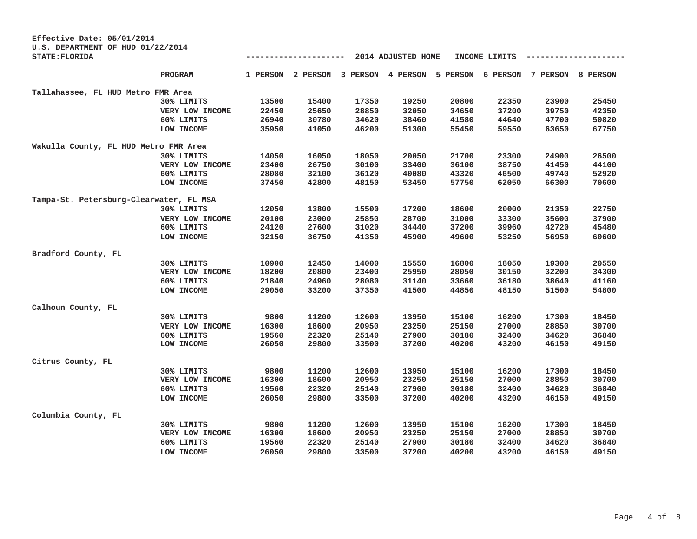| Effective Date: 05/01/2014<br>U.S. DEPARTMENT OF HUD 01/22/2014 |                 |       |                   |       |                    |                                     |               |          |          |
|-----------------------------------------------------------------|-----------------|-------|-------------------|-------|--------------------|-------------------------------------|---------------|----------|----------|
| <b>STATE: FLORIDA</b>                                           |                 |       |                   |       | 2014 ADJUSTED HOME |                                     | INCOME LIMITS |          |          |
|                                                                 | PROGRAM         |       | 1 PERSON 2 PERSON |       |                    | 3 PERSON 4 PERSON 5 PERSON 6 PERSON |               | 7 PERSON | 8 PERSON |
| Tallahassee, FL HUD Metro FMR Area                              |                 |       |                   |       |                    |                                     |               |          |          |
|                                                                 | 30% LIMITS      | 13500 | 15400             | 17350 | 19250              | 20800                               | 22350         | 23900    | 25450    |
|                                                                 | VERY LOW INCOME | 22450 | 25650             | 28850 | 32050              | 34650                               | 37200         | 39750    | 42350    |
|                                                                 | 60% LIMITS      | 26940 | 30780             | 34620 | 38460              | 41580                               | 44640         | 47700    | 50820    |
|                                                                 | LOW INCOME      | 35950 | 41050             | 46200 | 51300              | 55450                               | 59550         | 63650    | 67750    |
| Wakulla County, FL HUD Metro FMR Area                           |                 |       |                   |       |                    |                                     |               |          |          |
|                                                                 | 30% LIMITS      | 14050 | 16050             | 18050 | 20050              | 21700                               | 23300         | 24900    | 26500    |
|                                                                 | VERY LOW INCOME | 23400 | 26750             | 30100 | 33400              | 36100                               | 38750         | 41450    | 44100    |
|                                                                 | 60% LIMITS      | 28080 | 32100             | 36120 | 40080              | 43320                               | 46500         | 49740    | 52920    |
|                                                                 | LOW INCOME      | 37450 | 42800             | 48150 | 53450              | 57750                               | 62050         | 66300    | 70600    |
| Tampa-St. Petersburg-Clearwater, FL MSA                         |                 |       |                   |       |                    |                                     |               |          |          |
|                                                                 | 30% LIMITS      | 12050 | 13800             | 15500 | 17200              | 18600                               | 20000         | 21350    | 22750    |
|                                                                 | VERY LOW INCOME | 20100 | 23000             | 25850 | 28700              | 31000                               | 33300         | 35600    | 37900    |
|                                                                 | 60% LIMITS      | 24120 | 27600             | 31020 | 34440              | 37200                               | 39960         | 42720    | 45480    |
|                                                                 | LOW INCOME      | 32150 | 36750             | 41350 | 45900              | 49600                               | 53250         | 56950    | 60600    |
| Bradford County, FL                                             |                 |       |                   |       |                    |                                     |               |          |          |
|                                                                 | 30% LIMITS      | 10900 | 12450             | 14000 | 15550              | 16800                               | 18050         | 19300    | 20550    |
|                                                                 | VERY LOW INCOME | 18200 | 20800             | 23400 | 25950              | 28050                               | 30150         | 32200    | 34300    |
|                                                                 | 60% LIMITS      | 21840 | 24960             | 28080 | 31140              | 33660                               | 36180         | 38640    | 41160    |
|                                                                 | LOW INCOME      | 29050 | 33200             | 37350 | 41500              | 44850                               | 48150         | 51500    | 54800    |
| Calhoun County, FL                                              |                 |       |                   |       |                    |                                     |               |          |          |
|                                                                 | 30% LIMITS      | 9800  | 11200             | 12600 | 13950              | 15100                               | 16200         | 17300    | 18450    |
|                                                                 | VERY LOW INCOME | 16300 | 18600             | 20950 | 23250              | 25150                               | 27000         | 28850    | 30700    |
|                                                                 | 60% LIMITS      | 19560 | 22320             | 25140 | 27900              | 30180                               | 32400         | 34620    | 36840    |
|                                                                 | LOW INCOME      | 26050 | 29800             | 33500 | 37200              | 40200                               | 43200         | 46150    | 49150    |
| Citrus County, FL                                               |                 |       |                   |       |                    |                                     |               |          |          |
|                                                                 | 30% LIMITS      | 9800  | 11200             | 12600 | 13950              | 15100                               | 16200         | 17300    | 18450    |
|                                                                 | VERY LOW INCOME | 16300 | 18600             | 20950 | 23250              | 25150                               | 27000         | 28850    | 30700    |
|                                                                 | 60% LIMITS      | 19560 | 22320             | 25140 | 27900              | 30180                               | 32400         | 34620    | 36840    |
|                                                                 | LOW INCOME      | 26050 | 29800             | 33500 | 37200              | 40200                               | 43200         | 46150    | 49150    |
| Columbia County, FL                                             |                 |       |                   |       |                    |                                     |               |          |          |
|                                                                 | 30% LIMITS      | 9800  | 11200             | 12600 | 13950              | 15100                               | 16200         | 17300    | 18450    |
|                                                                 | VERY LOW INCOME | 16300 | 18600             | 20950 | 23250              | 25150                               | 27000         | 28850    | 30700    |
|                                                                 | 60% LIMITS      | 19560 | 22320             | 25140 | 27900              | 30180                               | 32400         | 34620    | 36840    |
|                                                                 | LOW INCOME      | 26050 | 29800             | 33500 | 37200              | 40200                               | 43200         | 46150    | 49150    |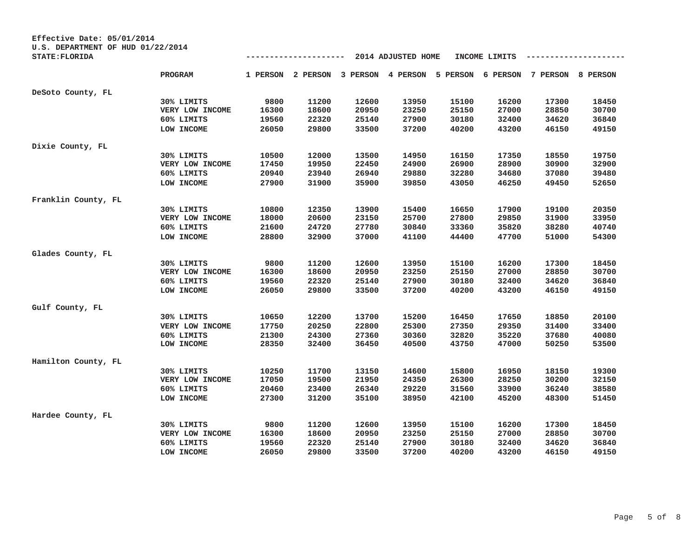| Effective Date: 05/01/2014                                 |                 |       |                   |       |                    |                                     |               |          |          |
|------------------------------------------------------------|-----------------|-------|-------------------|-------|--------------------|-------------------------------------|---------------|----------|----------|
| U.S. DEPARTMENT OF HUD 01/22/2014<br><b>STATE: FLORIDA</b> |                 |       |                   |       | 2014 ADJUSTED HOME |                                     | INCOME LIMITS |          |          |
|                                                            |                 |       |                   |       |                    |                                     |               |          |          |
|                                                            | PROGRAM         |       | 1 PERSON 2 PERSON |       |                    | 3 PERSON 4 PERSON 5 PERSON 6 PERSON |               | 7 PERSON | 8 PERSON |
| DeSoto County, FL                                          |                 |       |                   |       |                    |                                     |               |          |          |
|                                                            | 30% LIMITS      | 9800  | 11200             | 12600 | 13950              | 15100                               | 16200         | 17300    | 18450    |
|                                                            | VERY LOW INCOME | 16300 | 18600             | 20950 | 23250              | 25150                               | 27000         | 28850    | 30700    |
|                                                            | 60% LIMITS      | 19560 | 22320             | 25140 | 27900              | 30180                               | 32400         | 34620    | 36840    |
|                                                            | LOW INCOME      | 26050 | 29800             | 33500 | 37200              | 40200                               | 43200         | 46150    | 49150    |
| Dixie County, FL                                           |                 |       |                   |       |                    |                                     |               |          |          |
|                                                            | 30% LIMITS      | 10500 | 12000             | 13500 | 14950              | 16150                               | 17350         | 18550    | 19750    |
|                                                            | VERY LOW INCOME | 17450 | 19950             | 22450 | 24900              | 26900                               | 28900         | 30900    | 32900    |
|                                                            | 60% LIMITS      | 20940 | 23940             | 26940 | 29880              | 32280                               | 34680         | 37080    | 39480    |
|                                                            | LOW INCOME      | 27900 | 31900             | 35900 | 39850              | 43050                               | 46250         | 49450    | 52650    |
| Franklin County, FL                                        |                 |       |                   |       |                    |                                     |               |          |          |
|                                                            | 30% LIMITS      | 10800 | 12350             | 13900 | 15400              | 16650                               | 17900         | 19100    | 20350    |
|                                                            | VERY LOW INCOME | 18000 | 20600             | 23150 | 25700              | 27800                               | 29850         | 31900    | 33950    |
|                                                            | 60% LIMITS      | 21600 | 24720             | 27780 | 30840              | 33360                               | 35820         | 38280    | 40740    |
|                                                            | LOW INCOME      | 28800 | 32900             | 37000 | 41100              | 44400                               | 47700         | 51000    | 54300    |
| Glades County, FL                                          |                 |       |                   |       |                    |                                     |               |          |          |
|                                                            | 30% LIMITS      | 9800  | 11200             | 12600 | 13950              | 15100                               | 16200         | 17300    | 18450    |
|                                                            | VERY LOW INCOME | 16300 | 18600             | 20950 | 23250              | 25150                               | 27000         | 28850    | 30700    |
|                                                            | 60% LIMITS      | 19560 | 22320             | 25140 | 27900              | 30180                               | 32400         | 34620    | 36840    |
|                                                            | LOW INCOME      | 26050 | 29800             | 33500 | 37200              | 40200                               | 43200         | 46150    | 49150    |
| Gulf County, FL                                            |                 |       |                   |       |                    |                                     |               |          |          |
|                                                            | 30% LIMITS      | 10650 | 12200             | 13700 | 15200              | 16450                               | 17650         | 18850    | 20100    |
|                                                            | VERY LOW INCOME | 17750 | 20250             | 22800 | 25300              | 27350                               | 29350         | 31400    | 33400    |
|                                                            | 60% LIMITS      | 21300 | 24300             | 27360 | 30360              | 32820                               | 35220         | 37680    | 40080    |
|                                                            | LOW INCOME      | 28350 | 32400             | 36450 | 40500              | 43750                               | 47000         | 50250    | 53500    |
| Hamilton County, FL                                        |                 |       |                   |       |                    |                                     |               |          |          |
|                                                            | 30% LIMITS      | 10250 | 11700             | 13150 | 14600              | 15800                               | 16950         | 18150    | 19300    |
|                                                            | VERY LOW INCOME | 17050 | 19500             | 21950 | 24350              | 26300                               | 28250         | 30200    | 32150    |
|                                                            | 60% LIMITS      | 20460 | 23400             | 26340 | 29220              | 31560                               | 33900         | 36240    | 38580    |
|                                                            | LOW INCOME      | 27300 | 31200             | 35100 | 38950              | 42100                               | 45200         | 48300    | 51450    |
| Hardee County, FL                                          |                 |       |                   |       |                    |                                     |               |          |          |
|                                                            | 30% LIMITS      | 9800  | 11200             | 12600 | 13950              | 15100                               | 16200         | 17300    | 18450    |
|                                                            | VERY LOW INCOME | 16300 | 18600             | 20950 | 23250              | 25150                               | 27000         | 28850    | 30700    |
|                                                            | 60% LIMITS      | 19560 | 22320             | 25140 | 27900              | 30180                               | 32400         | 34620    | 36840    |
|                                                            | LOW INCOME      | 26050 | 29800             | 33500 | 37200              | 40200                               | 43200         | 46150    | 49150    |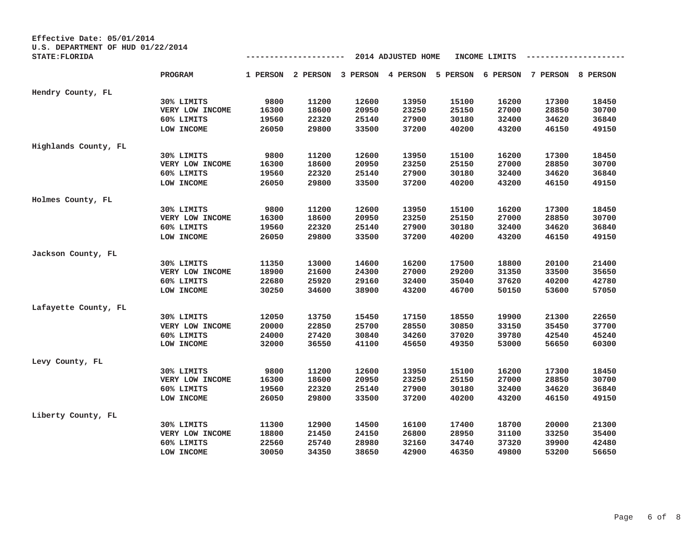| Effective Date: 05/01/2014<br>U.S. DEPARTMENT OF HUD 01/22/2014 |                 |          |          |       |                            |       |               |          |          |
|-----------------------------------------------------------------|-----------------|----------|----------|-------|----------------------------|-------|---------------|----------|----------|
| <b>STATE: FLORIDA</b>                                           |                 |          |          |       | 2014 ADJUSTED HOME         |       | INCOME LIMITS |          |          |
|                                                                 | PROGRAM         | 1 PERSON | 2 PERSON |       | 3 PERSON 4 PERSON 5 PERSON |       | 6 PERSON      | 7 PERSON | 8 PERSON |
| Hendry County, FL                                               |                 |          |          |       |                            |       |               |          |          |
|                                                                 | 30% LIMITS      | 9800     | 11200    | 12600 | 13950                      | 15100 | 16200         | 17300    | 18450    |
|                                                                 | VERY LOW INCOME | 16300    | 18600    | 20950 | 23250                      | 25150 | 27000         | 28850    | 30700    |
|                                                                 | 60% LIMITS      | 19560    | 22320    | 25140 | 27900                      | 30180 | 32400         | 34620    | 36840    |
|                                                                 | LOW INCOME      | 26050    | 29800    | 33500 | 37200                      | 40200 | 43200         | 46150    | 49150    |
| Highlands County, FL                                            |                 |          |          |       |                            |       |               |          |          |
|                                                                 | 30% LIMITS      | 9800     | 11200    | 12600 | 13950                      | 15100 | 16200         | 17300    | 18450    |
|                                                                 | VERY LOW INCOME | 16300    | 18600    | 20950 | 23250                      | 25150 | 27000         | 28850    | 30700    |
|                                                                 | 60% LIMITS      | 19560    | 22320    | 25140 | 27900                      | 30180 | 32400         | 34620    | 36840    |
|                                                                 | LOW INCOME      | 26050    | 29800    | 33500 | 37200                      | 40200 | 43200         | 46150    | 49150    |
| Holmes County, FL                                               |                 |          |          |       |                            |       |               |          |          |
|                                                                 | 30% LIMITS      | 9800     | 11200    | 12600 | 13950                      | 15100 | 16200         | 17300    | 18450    |
|                                                                 | VERY LOW INCOME | 16300    | 18600    | 20950 | 23250                      | 25150 | 27000         | 28850    | 30700    |
|                                                                 | 60% LIMITS      | 19560    | 22320    | 25140 | 27900                      | 30180 | 32400         | 34620    | 36840    |
|                                                                 | LOW INCOME      | 26050    | 29800    | 33500 | 37200                      | 40200 | 43200         | 46150    | 49150    |
| Jackson County, FL                                              |                 |          |          |       |                            |       |               |          |          |
|                                                                 | 30% LIMITS      | 11350    | 13000    | 14600 | 16200                      | 17500 | 18800         | 20100    | 21400    |
|                                                                 | VERY LOW INCOME | 18900    | 21600    | 24300 | 27000                      | 29200 | 31350         | 33500    | 35650    |
|                                                                 | 60% LIMITS      | 22680    | 25920    | 29160 | 32400                      | 35040 | 37620         | 40200    | 42780    |
|                                                                 | LOW INCOME      | 30250    | 34600    | 38900 | 43200                      | 46700 | 50150         | 53600    | 57050    |
| Lafayette County, FL                                            |                 |          |          |       |                            |       |               |          |          |
|                                                                 | 30% LIMITS      | 12050    | 13750    | 15450 | 17150                      | 18550 | 19900         | 21300    | 22650    |
|                                                                 | VERY LOW INCOME | 20000    | 22850    | 25700 | 28550                      | 30850 | 33150         | 35450    | 37700    |
|                                                                 | 60% LIMITS      | 24000    | 27420    | 30840 | 34260                      | 37020 | 39780         | 42540    | 45240    |
|                                                                 | LOW INCOME      | 32000    | 36550    | 41100 | 45650                      | 49350 | 53000         | 56650    | 60300    |
| Levy County, FL                                                 |                 |          |          |       |                            |       |               |          |          |
|                                                                 | 30% LIMITS      | 9800     | 11200    | 12600 | 13950                      | 15100 | 16200         | 17300    | 18450    |
|                                                                 | VERY LOW INCOME | 16300    | 18600    | 20950 | 23250                      | 25150 | 27000         | 28850    | 30700    |
|                                                                 | 60% LIMITS      | 19560    | 22320    | 25140 | 27900                      | 30180 | 32400         | 34620    | 36840    |
|                                                                 | LOW INCOME      | 26050    | 29800    | 33500 | 37200                      | 40200 | 43200         | 46150    | 49150    |
| Liberty County, FL                                              |                 |          |          |       |                            |       |               |          |          |
|                                                                 | 30% LIMITS      | 11300    | 12900    | 14500 | 16100                      | 17400 | 18700         | 20000    | 21300    |
|                                                                 | VERY LOW INCOME | 18800    | 21450    | 24150 | 26800                      | 28950 | 31100         | 33250    | 35400    |
|                                                                 | 60% LIMITS      | 22560    | 25740    | 28980 | 32160                      | 34740 | 37320         | 39900    | 42480    |
|                                                                 | LOW INCOME      | 30050    | 34350    | 38650 | 42900                      | 46350 | 49800         | 53200    | 56650    |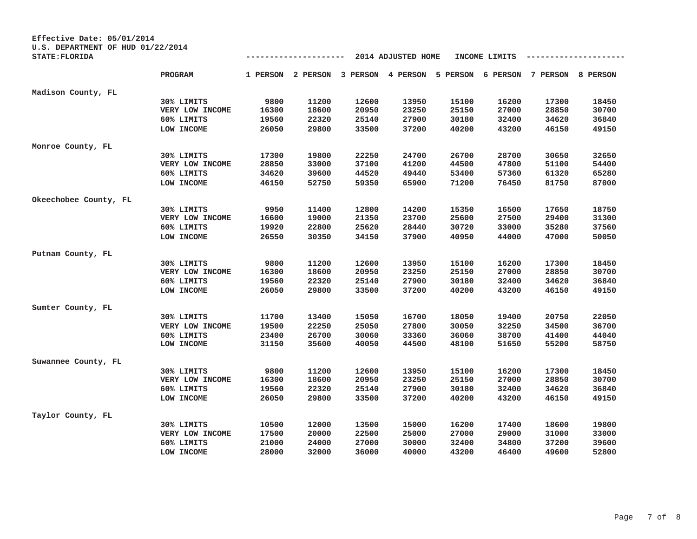| Effective Date: 05/01/2014<br>U.S. DEPARTMENT OF HUD 01/22/2014 |                 |       |                   |       |                    |                                     |               |          |          |
|-----------------------------------------------------------------|-----------------|-------|-------------------|-------|--------------------|-------------------------------------|---------------|----------|----------|
| <b>STATE: FLORIDA</b>                                           |                 |       |                   |       | 2014 ADJUSTED HOME |                                     | INCOME LIMITS |          |          |
|                                                                 | PROGRAM         |       | 1 PERSON 2 PERSON |       |                    | 3 PERSON 4 PERSON 5 PERSON 6 PERSON |               | 7 PERSON | 8 PERSON |
| Madison County, FL                                              |                 |       |                   |       |                    |                                     |               |          |          |
|                                                                 | 30% LIMITS      | 9800  | 11200             | 12600 | 13950              | 15100                               | 16200         | 17300    | 18450    |
|                                                                 | VERY LOW INCOME | 16300 | 18600             | 20950 | 23250              | 25150                               | 27000         | 28850    | 30700    |
|                                                                 | 60% LIMITS      | 19560 | 22320             | 25140 | 27900              | 30180                               | 32400         | 34620    | 36840    |
|                                                                 | LOW INCOME      | 26050 | 29800             | 33500 | 37200              | 40200                               | 43200         | 46150    | 49150    |
| Monroe County, FL                                               |                 |       |                   |       |                    |                                     |               |          |          |
|                                                                 | 30% LIMITS      | 17300 | 19800             | 22250 | 24700              | 26700                               | 28700         | 30650    | 32650    |
|                                                                 | VERY LOW INCOME | 28850 | 33000             | 37100 | 41200              | 44500                               | 47800         | 51100    | 54400    |
|                                                                 | 60% LIMITS      | 34620 | 39600             | 44520 | 49440              | 53400                               | 57360         | 61320    | 65280    |
|                                                                 | LOW INCOME      | 46150 | 52750             | 59350 | 65900              | 71200                               | 76450         | 81750    | 87000    |
| Okeechobee County, FL                                           |                 |       |                   |       |                    |                                     |               |          |          |
|                                                                 | 30% LIMITS      | 9950  | 11400             | 12800 | 14200              | 15350                               | 16500         | 17650    | 18750    |
|                                                                 | VERY LOW INCOME | 16600 | 19000             | 21350 | 23700              | 25600                               | 27500         | 29400    | 31300    |
|                                                                 | 60% LIMITS      | 19920 | 22800             | 25620 | 28440              | 30720                               | 33000         | 35280    | 37560    |
|                                                                 | LOW INCOME      | 26550 | 30350             | 34150 | 37900              | 40950                               | 44000         | 47000    | 50050    |
| Putnam County, FL                                               |                 |       |                   |       |                    |                                     |               |          |          |
|                                                                 | 30% LIMITS      | 9800  | 11200             | 12600 | 13950              | 15100                               | 16200         | 17300    | 18450    |
|                                                                 | VERY LOW INCOME | 16300 | 18600             | 20950 | 23250              | 25150                               | 27000         | 28850    | 30700    |
|                                                                 | 60% LIMITS      | 19560 | 22320             | 25140 | 27900              | 30180                               | 32400         | 34620    | 36840    |
|                                                                 | LOW INCOME      | 26050 | 29800             | 33500 | 37200              | 40200                               | 43200         | 46150    | 49150    |
| Sumter County, FL                                               |                 |       |                   |       |                    |                                     |               |          |          |
|                                                                 | 30% LIMITS      | 11700 | 13400             | 15050 | 16700              | 18050                               | 19400         | 20750    | 22050    |
|                                                                 | VERY LOW INCOME | 19500 | 22250             | 25050 | 27800              | 30050                               | 32250         | 34500    | 36700    |
|                                                                 | 60% LIMITS      | 23400 | 26700             | 30060 | 33360              | 36060                               | 38700         | 41400    | 44040    |
|                                                                 | LOW INCOME      | 31150 | 35600             | 40050 | 44500              | 48100                               | 51650         | 55200    | 58750    |
| Suwannee County, FL                                             |                 |       |                   |       |                    |                                     |               |          |          |
|                                                                 | 30% LIMITS      | 9800  | 11200             | 12600 | 13950              | 15100                               | 16200         | 17300    | 18450    |
|                                                                 | VERY LOW INCOME | 16300 | 18600             | 20950 | 23250              | 25150                               | 27000         | 28850    | 30700    |
|                                                                 | 60% LIMITS      | 19560 | 22320             | 25140 | 27900              | 30180                               | 32400         | 34620    | 36840    |
|                                                                 | LOW INCOME      | 26050 | 29800             | 33500 | 37200              | 40200                               | 43200         | 46150    | 49150    |
| Taylor County, FL                                               |                 |       |                   |       |                    |                                     |               |          |          |
|                                                                 | 30% LIMITS      | 10500 | 12000             | 13500 | 15000              | 16200                               | 17400         | 18600    | 19800    |
|                                                                 | VERY LOW INCOME | 17500 | 20000             | 22500 | 25000              | 27000                               | 29000         | 31000    | 33000    |
|                                                                 | 60% LIMITS      | 21000 | 24000             | 27000 | 30000              | 32400                               | 34800         | 37200    | 39600    |
|                                                                 | LOW INCOME      | 28000 | 32000             | 36000 | 40000              | 43200                               | 46400         | 49600    | 52800    |